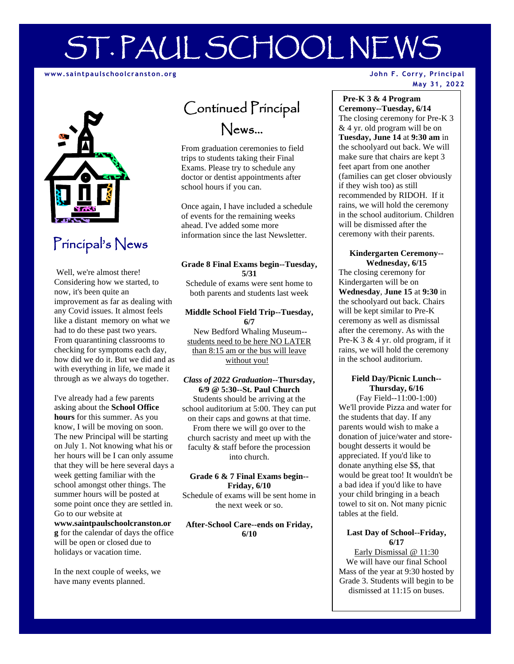# ST. PAUL SCHOOL NEWS

#### **www.saintpaulschoolcranst on.org**



# Principal's News

Well, we're almost there! Considering how we started, to now, it's been quite an improvement as far as dealing with any Covid issues. It almost feels like a distant memory on what we had to do these past two years. From quarantining classrooms to checking for symptoms each day, how did we do it. But we did and as with everything in life, we made it through as we always do together.

I've already had a few parents asking about the **School Office hours** for this summer. As you know, I will be moving on soon. The new Principal will be starting on July 1. Not knowing what his or her hours will be I can only assume that they will be here several days a week getting familiar with the school amongst other things. The summer hours will be posted at some point once they are settled in. Go to our website at

**www.saintpaulschoolcranston.or g** for the calendar of days the office will be open or closed due to holidays or vacation time.

In the next couple of weeks, we have many events planned.

# Continued Principal News…

From graduation ceremonies to field trips to students taking their Final Exams. Please try to schedule any doctor or dentist appointments after school hours if you can.

Once again, I have included a schedule of events for the remaining weeks ahead. I've added some more information since the last Newsletter.

#### **Grade 8 Final Exams begin--Tuesday, 5/31**

Schedule of exams were sent home to both parents and students last week

#### **Middle School Field Trip--Tuesday, 6/7**

New Bedford Whaling Museum- students need to be here NO LATER than 8:15 am or the bus will leave without you!

#### *Class of 2022 Graduation***--Thursday, 6/9 @ 5:30--St. Paul Church**

Students should be arriving at the school auditorium at 5:00. They can put on their caps and gowns at that time. From there we will go over to the church sacristy and meet up with the faculty & staff before the procession into church.

#### **Grade 6 & 7 Final Exams begin-- Friday, 6/10**

Schedule of exams will be sent home in the next week or so.

#### **After-School Care--ends on Friday, 6/10**

#### **John F. Corry, Principal May 31, 2022**

#### **Pre-K 3 & 4 Program Ceremony--Tuesday, 6/14**

The closing ceremony for Pre-K 3 & 4 yr. old program will be on **Tuesday, June 14** at **9:30 am** in the schoolyard out back. We will make sure that chairs are kept 3 feet apart from one another (families can get closer obviously if they wish too) as still recommended by RIDOH. If it rains, we will hold the ceremony in the school auditorium. Children will be dismissed after the ceremony with their parents.

#### **Kindergarten Ceremony-- Wednesday, 6/15**

The closing ceremony for Kindergarten will be on **Wednesday**, **June 15** at **9:30** in the schoolyard out back. Chairs will be kept similar to Pre-K ceremony as well as dismissal after the ceremony. As with the Pre-K 3 & 4 yr. old program, if it rains, we will hold the ceremony in the school auditorium.

# **Field Day/Picnic Lunch-- Thursday, 6/16**

(Fay Field--11:00-1:00) We'll provide Pizza and water for the students that day. If any parents would wish to make a donation of juice/water and storebought desserts it would be appreciated. If you'd like to donate anything else \$\$, that would be great too! It wouldn't be a bad idea if you'd like to have your child bringing in a beach towel to sit on. Not many picnic tables at the field.

# **Last Day of School--Friday, 6/17**

Early Dismissal @ 11:30 We will have our final School Mass of the year at 9:30 hosted by Grade 3. Students will begin to be dismissed at 11:15 on buses.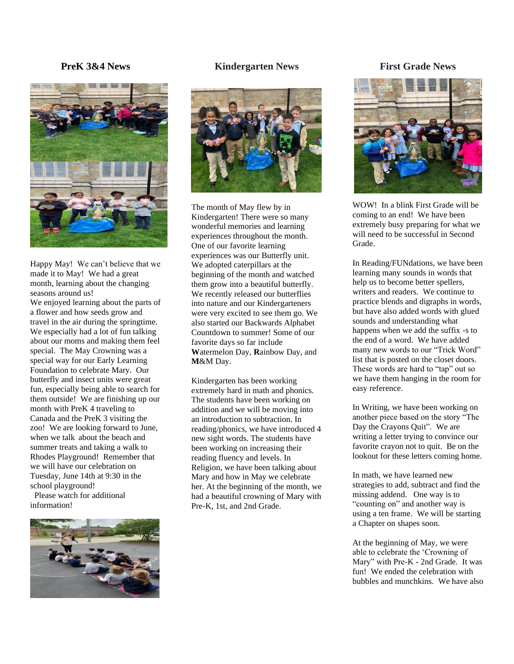# **PreK 3&4 News**



Happy May! We can't believe that we made it to May! We had a great month, learning about the changing seasons around us!

We enjoyed learning about the parts of a flower and how seeds grow and travel in the air during the springtime. We especially had a lot of fun talking about our moms and making them feel special. The May Crowning was a special way for our Early Learning Foundation to celebrate Mary. Our butterfly and insect units were great fun, especially being able to search for them outside! We are finishing up our month with PreK 4 traveling to Canada and the PreK 3 visiting the zoo! We are looking forward to June, when we talk about the beach and summer treats and taking a walk to Rhodes Playground! Remember that we will have our celebration on Tuesday, June 14th at 9:30 in the school playground!

 Please watch for additional information!



#### **Kindergarten News**



The month of May flew by in Kindergarten! There were so many wonderful memories and learning experiences throughout the month. One of our favorite learning experiences was our Butterfly unit. We adopted caterpillars at the beginning of the month and watched them grow into a beautiful butterfly. We recently released our butterflies into nature and our Kindergarteners were very excited to see them go. We also started our Backwards Alphabet Countdown to summer! Some of our favorite days so far include **W**atermelon Day, **R**ainbow Day, and **M**&M Day.

Kindergarten has been working extremely hard in math and phonics. The students have been working on addition and we will be moving into an introduction to subtraction. In reading/phonics, we have introduced 4 new sight words. The students have been working on increasing their reading fluency and levels. In Religion, we have been talking about Mary and how in May we celebrate her. At the beginning of the month, we had a beautiful crowning of Mary with Pre-K, 1st, and 2nd Grade.

# **First Grade News**



WOW! In a blink First Grade will be coming to an end! We have been extremely busy preparing for what we will need to be successful in Second Grade.

In Reading/FUNdations, we have been learning many sounds in words that help us to become better spellers, writers and readers. We continue to practice blends and digraphs in words, but have also added words with glued sounds and understanding what happens when we add the suffix -s to the end of a word. We have added many new words to our "Trick Word" list that is posted on the closet doors. These words are hard to "tap" out so we have them hanging in the room for easy reference.

In Writing, we have been working on another piece based on the story "The Day the Crayons Quit". We are writing a letter trying to convince our favorite crayon not to quit. Be on the lookout for these letters coming home.

In math, we have learned new strategies to add, subtract and find the missing addend. One way is to "counting on" and another way is using a ten frame. We will be starting a Chapter on shapes soon.

At the beginning of May, we were able to celebrate the 'Crowning of Mary" with Pre-K - 2nd Grade. It was fun! We ended the celebration with bubbles and munchkins. We have also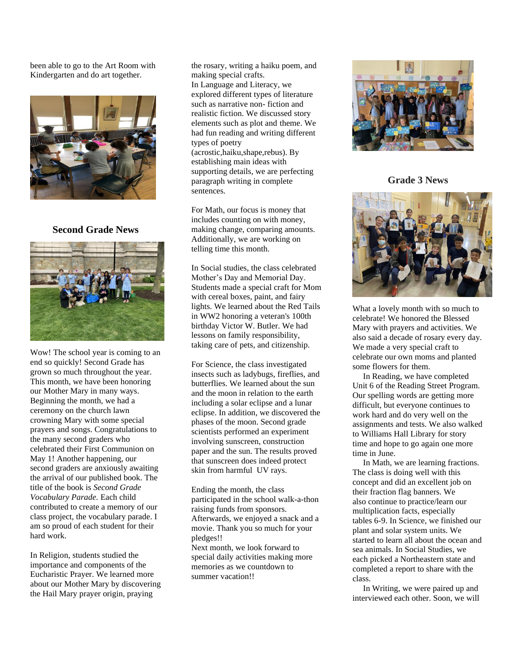been able to go to the Art Room with Kindergarten and do art together.



# **Second Grade News**



Wow! The school year is coming to an end so quickly! Second Grade has grown so much throughout the year. This month, we have been honoring our Mother Mary in many ways. Beginning the month, we had a ceremony on the church lawn crowning Mary with some special prayers and songs. Congratulations to the many second graders who celebrated their First Communion on May 1! Another happening, our second graders are anxiously awaiting the arrival of our published book. The title of the book is *Second Grade Vocabulary Parade.* Each child contributed to create a memory of our class project, the vocabulary parade. I am so proud of each student for their hard work.

In Religion, students studied the importance and components of the Eucharistic Prayer. We learned more about our Mother Mary by discovering the Hail Mary prayer origin, praying

the rosary, writing a haiku poem, and making special crafts. In Language and Literacy, we explored different types of literature such as narrative non- fiction and realistic fiction. We discussed story elements such as plot and theme. We had fun reading and writing different types of poetry (acrostic,haiku,shape,rebus). By establishing main ideas with supporting details, we are perfecting paragraph writing in complete sentences.

For Math, our focus is money that includes counting on with money, making change, comparing amounts. Additionally, we are working on telling time this month.

In Social studies, the class celebrated Mother's Day and Memorial Day. Students made a special craft for Mom with cereal boxes, paint, and fairy lights. We learned about the Red Tails in WW2 honoring a veteran's 100th birthday Victor W. Butler. We had lessons on family responsibility, taking care of pets, and citizenship.

For Science, the class investigated insects such as ladybugs, fireflies, and butterflies. We learned about the sun and the moon in relation to the earth including a solar eclipse and a lunar eclipse. In addition, we discovered the phases of the moon. Second grade scientists performed an experiment involving sunscreen, construction paper and the sun. The results proved that sunscreen does indeed protect skin from harmful UV rays.

Ending the month, the class participated in the school walk-a-thon raising funds from sponsors. Afterwards, we enjoyed a snack and a movie. Thank you so much for your pledges!!

Next month, we look forward to special daily activities making more memories as we countdown to summer vacation!!



**Grade 3 News**



What a lovely month with so much to celebrate! We honored the Blessed Mary with prayers and activities. We also said a decade of rosary every day. We made a very special craft to celebrate our own moms and planted some flowers for them.

 In Reading, we have completed Unit 6 of the Reading Street Program. Our spelling words are getting more difficult, but everyone continues to work hard and do very well on the assignments and tests. We also walked to Williams Hall Library for story time and hope to go again one more time in June.

 In Math, we are learning fractions. The class is doing well with this concept and did an excellent job on their fraction flag banners. We also continue to practice/learn our multiplication facts, especially tables 6-9. In Science, we finished our plant and solar system units. We started to learn all about the ocean and sea animals. In Social Studies, we each picked a Northeastern state and completed a report to share with the class.

 In Writing, we were paired up and interviewed each other. Soon, we will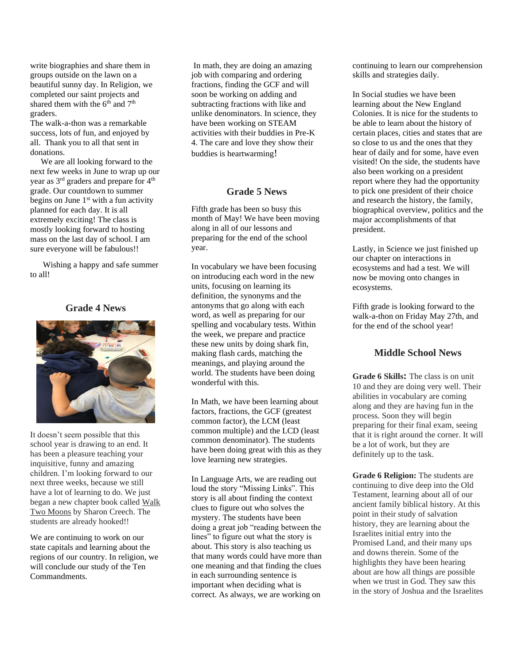write biographies and share them in groups outside on the lawn on a beautiful sunny day. In Religion, we completed our saint projects and shared them with the  $6<sup>th</sup>$  and  $7<sup>th</sup>$ graders.

The walk-a-thon was a remarkable success, lots of fun, and enjoyed by all. Thank you to all that sent in donations.

 We are all looking forward to the next few weeks in June to wrap up our year as 3rd graders and prepare for 4th grade. Our countdown to summer begins on June  $1<sup>st</sup>$  with a fun activity planned for each day. It is all extremely exciting! The class is mostly looking forward to hosting mass on the last day of school. I am sure everyone will be fabulous!!

 Wishing a happy and safe summer to all!

# **Grade 4 News**



It doesn't seem possible that this school year is drawing to an end. It has been a pleasure teaching your inquisitive, funny and amazing children. I'm looking forward to our next three weeks, because we still have a lot of learning to do. We just began a new chapter book called Walk Two Moons by Sharon Creech. The students are already hooked!!

We are continuing to work on our state capitals and learning about the regions of our country. In religion, we will conclude our study of the Ten Commandments.

In math, they are doing an amazing job with comparing and ordering fractions, finding the GCF and will soon be working on adding and subtracting fractions with like and unlike denominators. In science, they have been working on STEAM activities with their buddies in Pre-K 4. The care and love they show their buddies is heartwarming!

# **Grade 5 News**

Fifth grade has been so busy this month of May! We have been moving along in all of our lessons and preparing for the end of the school year.

In vocabulary we have been focusing on introducing each word in the new units, focusing on learning its definition, the synonyms and the antonyms that go along with each word, as well as preparing for our spelling and vocabulary tests. Within the week, we prepare and practice these new units by doing shark fin, making flash cards, matching the meanings, and playing around the world. The students have been doing wonderful with this.

In Math, we have been learning about factors, fractions, the GCF (greatest common factor), the LCM (least common multiple) and the LCD (least common denominator). The students have been doing great with this as they love learning new strategies.

In Language Arts, we are reading out loud the story "Missing Links". This story is all about finding the context clues to figure out who solves the mystery. The students have been doing a great job "reading between the lines" to figure out what the story is about. This story is also teaching us that many words could have more than one meaning and that finding the clues in each surrounding sentence is important when deciding what is correct. As always, we are working on

continuing to learn our comprehension skills and strategies daily.

In Social studies we have been learning about the New England Colonies. It is nice for the students to be able to learn about the history of certain places, cities and states that are so close to us and the ones that they hear of daily and for some, have even visited! On the side, the students have also been working on a president report where they had the opportunity to pick one president of their choice and research the history, the family, biographical overview, politics and the major accomplishments of that president.

Lastly, in Science we just finished up our chapter on interactions in ecosystems and had a test. We will now be moving onto changes in ecosystems.

Fifth grade is looking forward to the walk-a-thon on Friday May 27th, and for the end of the school year!

# **Middle School News**

**Grade 6 Skills:** The class is on unit 10 and they are doing very well. Their abilities in vocabulary are coming along and they are having fun in the process. Soon they will begin preparing for their final exam, seeing that it is right around the corner. It will be a lot of work, but they are definitely up to the task.

**Grade 6 Religion:** The students are continuing to dive deep into the Old Testament, learning about all of our ancient family biblical history. At this point in their study of salvation history, they are learning about the Israelites initial entry into the Promised Land, and their many ups and downs therein. Some of the highlights they have been hearing about are how all things are possible when we trust in God. They saw this in the story of Joshua and the Israelites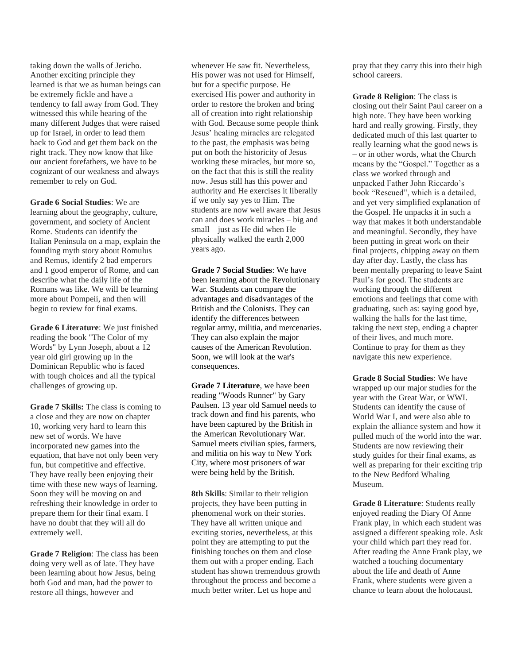taking down the walls of Jericho. Another exciting principle they learned is that we as human beings can be extremely fickle and have a tendency to fall away from God. They witnessed this while hearing of the many different Judges that were raised up for Israel, in order to lead them back to God and get them back on the right track. They now know that like our ancient forefathers, we have to be cognizant of our weakness and always remember to rely on God.

**Grade 6 Social Studies**: We are learning about the geography, culture, government, and society of Ancient Rome. Students can identify the Italian Peninsula on a map, explain the founding myth story about Romulus and Remus, identify 2 bad emperors and 1 good emperor of Rome, and can describe what the daily life of the Romans was like. We will be learning more about Pompeii, and then will begin to review for final exams.

**Grade 6 Literature**: We just finished reading the book "The Color of my Words" by Lynn Joseph, about a 12 year old girl growing up in the Dominican Republic who is faced with tough choices and all the typical challenges of growing up.

**Grade 7 Skills:** The class is coming to a close and they are now on chapter 10, working very hard to learn this new set of words. We have incorporated new games into the equation, that have not only been very fun, but competitive and effective. They have really been enjoying their time with these new ways of learning. Soon they will be moving on and refreshing their knowledge in order to prepare them for their final exam. I have no doubt that they will all do extremely well.

**Grade 7 Religion**: The class has been doing very well as of late. They have been learning about how Jesus, being both God and man, had the power to restore all things, however and

whenever He saw fit. Nevertheless, His power was not used for Himself, but for a specific purpose. He exercised His power and authority in order to restore the broken and bring all of creation into right relationship with God. Because some people think Jesus' healing miracles are relegated to the past, the emphasis was being put on both the historicity of Jesus working these miracles, but more so, on the fact that this is still the reality now. Jesus still has this power and authority and He exercises it liberally if we only say yes to Him. The students are now well aware that Jesus can and does work miracles – big and small – just as He did when He physically walked the earth 2,000 years ago.

**Grade 7 Social Studies**: We have been learning about the Revolutionary War. Students can compare the advantages and disadvantages of the British and the Colonists. They can identify the differences between regular army, militia, and mercenaries. They can also explain the major causes of the American Revolution. Soon, we will look at the war's consequences.

**Grade 7 Literature**, we have been reading "Woods Runner" by Gary Paulsen. 13 year old Samuel needs to track down and find his parents, who have been captured by the British in the American Revolutionary War. Samuel meets civilian spies, farmers, and militia on his way to New York City, where most prisoners of war were being held by the British.

**8th Skills**: Similar to their religion projects, they have been putting in phenomenal work on their stories. They have all written unique and exciting stories, nevertheless, at this point they are attempting to put the finishing touches on them and close them out with a proper ending. Each student has shown tremendous growth throughout the process and become a much better writer. Let us hope and

pray that they carry this into their high school careers.

**Grade 8 Religion**: The class is closing out their Saint Paul career on a high note. They have been working hard and really growing. Firstly, they dedicated much of this last quarter to really learning what the good news is – or in other words, what the Church means by the "Gospel." Together as a class we worked through and unpacked Father John Riccardo's book "Rescued", which is a detailed, and yet very simplified explanation of the Gospel. He unpacks it in such a way that makes it both understandable and meaningful. Secondly, they have been putting in great work on their final projects, chipping away on them day after day. Lastly, the class has been mentally preparing to leave Saint Paul's for good. The students are working through the different emotions and feelings that come with graduating, such as: saying good bye, walking the halls for the last time, taking the next step, ending a chapter of their lives, and much more. Continue to pray for them as they navigate this new experience.

**Grade 8 Social Studies**: We have wrapped up our major studies for the year with the Great War, or WWI. Students can identify the cause of World War I, and were also able to explain the alliance system and how it pulled much of the world into the war. Students are now reviewing their study guides for their final exams, as well as preparing for their exciting trip to the New Bedford Whaling Museum.

**Grade 8 Literature**: Students really enjoyed reading the Diary Of Anne Frank play, in which each student was assigned a different speaking role. Ask your child which part they read for. After reading the Anne Frank play, we watched a touching documentary about the life and death of Anne Frank, where students were given a chance to learn about the holocaust.